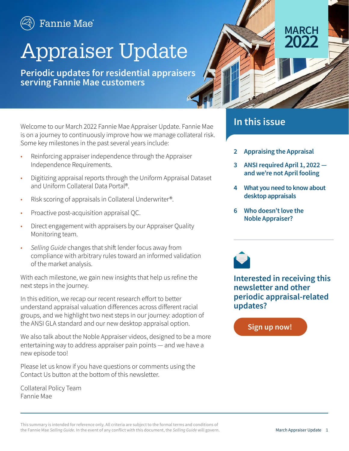

# Appraiser Update

**Periodic updates for residential appraisers serving Fannie Mae customers** 



Welcome to our March 2022 Fannie Mae Appraiser Update. Fannie Mae is on a journey to continuously improve how we manage collateral risk. Some key milestones in the past several years include:

- Reinforcing appraiser independence through the Appraiser Independence Requirements.
- Digitizing appraisal reports through the Uniform Appraisal Dataset and Uniform Collateral Data Portal®.
- Risk scoring of appraisals in Collateral Underwriter®.
- Proactive post-acquisition appraisal QC.
- Direct engagement with appraisers by our Appraiser Quality Monitoring team.
- *• Selling Guide* changes that shift lender focus away from compliance with arbitrary rules toward an informed validation of the market analysis.

With each milestone, we gain new insights that help us refine the next steps in the journey.

In this edition, we recap our recent research effort to better understand appraisal valuation differences across different racial groups, and we highlight two next steps in our journey: adoption of the ANSI GLA standard and our new desktop appraisal option.

We also talk about the Noble Appraiser videos, designed to be a more entertaining way to address appraiser pain points — and we have a new episode too!

Please let us know if you have questions or comments using the Contact Us button at the bottom of this newsletter.

Collateral Policy Team Fannie Mae

#### **In this issue**

- **[2](#page-1-0) Appraising the Appraisal**
- **[3](#page-2-0) ANSI required April 1, 2022 and we're not April fooling**

MARCH<br>2022 **2022**

- **[4](#page-3-0) What you need to know about desktop appraisals**
- **[6](#page-3-0) Who doesn't love the Noble Appraiser?**



**Interested in receiving this newsletter and other periodic appraisal-related updates?**

**[Sign up now!](https://singlefamily.fanniemae.com/form/notification-center)**

This summary is intended for reference only. All criteria are subject to the formal terms and conditions of the Fannie Mae *Selling Guide*. In the event of any conflict with this document, the *Selling Guide* will govern. Manch Appraiser Update 1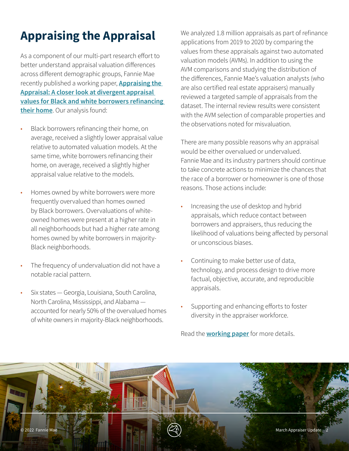# <span id="page-1-0"></span>**Appraising the Appraisal**

As a component of our multi-part research effort to better understand appraisal valuation differences across different demographic groups, Fannie Mae recently published a working paper, **[Appraising the](https://www.fanniemae.com/research-and-insights/publications/appraising-the-appraisal)  [Appraisal: A closer look at divergent appraisal](https://www.fanniemae.com/research-and-insights/publications/appraising-the-appraisal)  [values for Black and white borrowers refinancing](https://www.fanniemae.com/research-and-insights/publications/appraising-the-appraisal)  [their home](https://www.fanniemae.com/research-and-insights/publications/appraising-the-appraisal)**. Our analysis found:

- Black borrowers refinancing their home, on average, received a slightly lower appraisal value relative to automated valuation models. At the same time, white borrowers refinancing their home, on average, received a slightly higher appraisal value relative to the models.
- Homes owned by white borrowers were more frequently overvalued than homes owned by Black borrowers. Overvaluations of whiteowned homes were present at a higher rate in all neighborhoods but had a higher rate among homes owned by white borrowers in majority-Black neighborhoods.
- The frequency of undervaluation did not have a notable racial pattern.
- Six states Georgia, Louisiana, South Carolina, North Carolina, Mississippi, and Alabama accounted for nearly 50% of the overvalued homes of white owners in majority-Black neighborhoods.

We analyzed 1.8 million appraisals as part of refinance applications from 2019 to 2020 by comparing the values from these appraisals against two automated valuation models (AVMs). In addition to using the AVM comparisons and studying the distribution of the differences, Fannie Mae's valuation analysts (who are also certified real estate appraisers) manually reviewed a targeted sample of appraisals from the dataset. The internal review results were consistent with the AVM selection of comparable properties and the observations noted for misvaluation.

There are many possible reasons why an appraisal would be either overvalued or undervalued. Fannie Mae and its industry partners should continue to take concrete actions to minimize the chances that the race of a borrower or homeowner is one of those reasons. Those actions include:

- Increasing the use of desktop and hybrid appraisals, which reduce contact between borrowers and appraisers, thus reducing the likelihood of valuations being affected by personal or unconscious biases.
- Continuing to make better use of data, technology, and process design to drive more factual, objective, accurate, and reproducible appraisals.
- Supporting and enhancing efforts to foster diversity in the appraiser workforce.

Read the **[working paper](https://www.fanniemae.com/research-and-insights/publications/appraising-the-appraisal)** for more details.

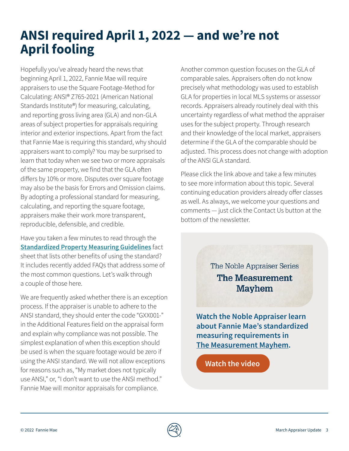## <span id="page-2-0"></span>**ANSI required April 1, 2022 — and we're not April fooling**

Hopefully you've already heard the news that beginning April 1, 2022, Fannie Mae will require appraisers to use the Square Footage-Method for Calculating: ANSI® Z765-2021 (American National Standards Institute®) for measuring, calculating, and reporting gross living area (GLA) and non-GLA areas of subject properties for appraisals requiring interior and exterior inspections. Apart from the fact that Fannie Mae is requiring this standard, why should appraisers want to comply? You may be surprised to learn that today when we see two or more appraisals of the same property, we find that the GLA often differs by 10% or more. Disputes over square footage may also be the basis for Errors and Omission claims. By adopting a professional standard for measuring, calculating, and reporting the square footage, appraisers make their work more transparent, reproducible, defensible, and credible.

Have you taken a few minutes to read through the **[Standardized Property Measuring Guidelines](https://singlefamily.fanniemae.com/media/30266/display)** fact sheet that lists other benefits of using the standard? It includes recently added FAQs that address some of the most common questions. Let's walk through a couple of those here.

We are frequently asked whether there is an exception process. If the appraiser is unable to adhere to the ANSI standard, they should enter the code "GXX001-" in the Additional Features field on the appraisal form and explain why compliance was not possible. The simplest explanation of when this exception should be used is when the square footage would be zero if using the ANSI standard. We will not allow exceptions for reasons such as, "My market does not typically use ANSI," or, "I don't want to use the ANSI method." Fannie Mae will monitor appraisals for compliance.

Another common question focuses on the GLA of comparable sales. Appraisers often do not know precisely what methodology was used to establish GLA for properties in local MLS systems or assessor records. Appraisers already routinely deal with this uncertainty regardless of what method the appraiser uses for the subject property. Through research and their knowledge of the local market, appraisers determine if the GLA of the comparable should be adjusted. This process does not change with adoption of the ANSI GLA standard.

Please click the link above and take a few minutes to see more information about this topic. Several continuing education providers already offer classes as well. As always, we welcome your questions and comments — just click the Contact Us button at the bottom of the newsletter.

> The Noble Appraiser Series **The Measurement Mayhem**

**Watch the Noble Appraiser learn about Fannie Mae's standardized measuring requirements in [The Measurement Mayhem](https://fanniemae.qumucloud.com/view/Gr6xh2x39AI1zQwixnxToA).**

**[Watch the video](https://fanniemae.qumucloud.com/view/Gr6xh2x39AI1zQwixnxToA)**

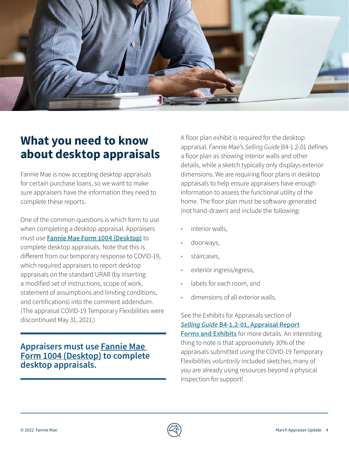<span id="page-3-0"></span>

### **What you need to know about desktop appraisals**

Fannie Mae is now accepting desktop appraisals for certain purchase loans, so we want to make sure appraisers have the information they need to complete these reports.

One of the common questions is which form to use when completing a desktop appraisal. Appraisers must use **[Fannie Mae Form 1004 \(Desktop\)](https://singlefamily.fanniemae.com/media/30346/display)** to complete desktop appraisals. Note that this is different from our temporary response to COVID-19, which required appraisers to report desktop appraisals on the standard URAR (by inserting a modified set of instructions, scope of work, statement of assumptions and limiting conditions, and certifications) into the comment addendum. (The appraisal COVID-19 Temporary Flexibilities were discontinued May 31, 2021.)

#### **Appraisers must use [Fannie Mae](https://singlefamily.fanniemae.com/media/30346/display)  [Form 1004 \(Desktop\)](https://singlefamily.fanniemae.com/media/30346/display) to complete desktop appraisals.**

A floor plan exhibit is required for the desktop appraisal. Fannie Mae's *Selling Guide* B4-1.2-01 defines a floor plan as showing interior walls and other details, while a sketch typically only displays exterior dimensions. We are requiring floor plans in desktop appraisals to help ensure appraisers have enough information to assess the functional utility of the home. The floor plan must be software-generated (not hand-drawn) and include the following:

- interior walls.
- doorways,
- staircases,
- exterior ingress/egress,
- labels for each room, and
- dimensions of all exterior walls.

#### See the Exhibits for Appraisals section of *Selling Guide* **[B4-1.2-01, Appraisal Report](https://selling-guide.fanniemae.com/Selling-Guide/Origination-thru-Closing/Subpart-B4-Underwriting-Property/Chapter-B4-1-Appraisal-Requirements/Section-B4-1-2-Documentation-Standards/1032991831/B4-1-2-01-Appraisal-Report-Forms-and-Exhibits-02-02-2022.htm)**

**[Forms and Exhibits](https://selling-guide.fanniemae.com/Selling-Guide/Origination-thru-Closing/Subpart-B4-Underwriting-Property/Chapter-B4-1-Appraisal-Requirements/Section-B4-1-2-Documentation-Standards/1032991831/B4-1-2-01-Appraisal-Report-Forms-and-Exhibits-02-02-2022.htm)** for more details. An interesting thing to note is that approximately 30% of the appraisals submitted using the COVID-19 Temporary Flexibilities *voluntarily* included sketches; many of you are already using resources beyond a physical inspection for support!

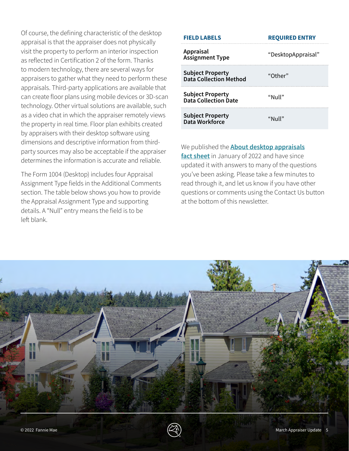Of course, the defining characteristic of the desktop appraisal is that the appraiser does not physically visit the property to perform an interior inspection as reflected in Certification 2 of the form. Thanks to modern technology, there are several ways for appraisers to gather what they need to perform these appraisals. Third-party applications are available that can create floor plans using mobile devices or 3D-scan technology. Other virtual solutions are available, such as a video chat in which the appraiser remotely views the property in real time. Floor plan exhibits created by appraisers with their desktop software using dimensions and descriptive information from thirdparty sources may also be acceptable if the appraiser determines the information is accurate and reliable.

The Form 1004 (Desktop) includes four Appraisal Assignment Type fields in the Additional Comments section. The table below shows you how to provide the Appraisal Assignment Type and supporting details. A "Null" entry means the field is to be left blank.

| <b>FIELD LABELS</b>                                      | <b>REQUIRED ENTRY</b> |
|----------------------------------------------------------|-----------------------|
| Appraisal<br><b>Assignment Type</b>                      | "DesktopAppraisal"    |
| <b>Subject Property</b><br><b>Data Collection Method</b> | "Other"               |
| <b>Subject Property</b><br>Data Collection Date          | "Null"                |
| <b>Subject Property</b><br>Data Workforce                | "Null"                |

We published the **[About desktop appraisals](https://singlefamily.fanniemae.com/media/30361/display) [fact sheet](https://singlefamily.fanniemae.com/media/30361/display)** in January of 2022 and have since updated it with answers to many of the questions you've been asking. Please take a few minutes to read through it, and let us know if you have other questions or comments using the Contact Us button at the bottom of this newsletter.